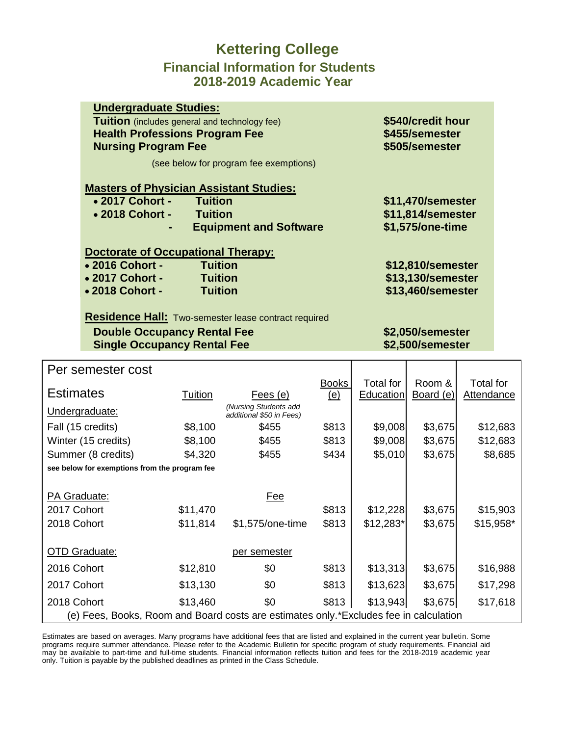### **Kettering College Financial Information for Students 2018-2019 Academic Year**

| <b>Undergraduate Studies:</b>                        |                   |
|------------------------------------------------------|-------------------|
| <b>Tuition</b> (includes general and technology fee) | \$540/credit hour |
| <b>Health Professions Program Fee</b>                | \$455/semester    |
| <b>Nursing Program Fee</b>                           | \$505/semester    |
| (see below for program fee exemptions)               |                   |
| <b>Masters of Physician Assistant Studies:</b>       |                   |
| $\bullet$ 2017 Cohort -<br>Tuition                   | \$11,470/semester |
| • 2018 Cohort -<br><b>Tuition</b>                    | \$11,814/semester |
| <b>Equipment and Software</b><br>$\blacksquare$      | \$1,575/one-time  |
|                                                      |                   |
| <b>Doctorate of Occupational Therapy:</b>            |                   |
| • 2016 Cohort -<br><b>Tuition</b>                    | \$12,810/semester |
| • 2017 Cohort -<br><b>Tuition</b>                    | \$13,130/semester |
| • 2018 Cohort -<br><b>Tuition</b>                    | \$13,460/semester |
|                                                      |                   |

**Residence Hall:** Two-semester lease contract required

#### **Double Occupancy Rental Fee \$2,050/semester Single Occupancy Rental Fee \$2,500/semester**

| Per semester cost                                                                     |          |                                                   |              |                  |           |                   |  |
|---------------------------------------------------------------------------------------|----------|---------------------------------------------------|--------------|------------------|-----------|-------------------|--|
|                                                                                       |          |                                                   | <b>Books</b> | Total for        | Room &    | Total for         |  |
| <b>Estimates</b>                                                                      | Tuition  | Fees (e)                                          | <u>(e)</u>   | <b>Education</b> | Board (e) | <b>Attendance</b> |  |
| Undergraduate:                                                                        |          | (Nursing Students add<br>additional \$50 in Fees) |              |                  |           |                   |  |
| Fall (15 credits)                                                                     | \$8,100  | \$455                                             | \$813        | \$9,008          | \$3,675   | \$12,683          |  |
| Winter (15 credits)                                                                   | \$8,100  | \$455                                             | \$813        | \$9,008          | \$3,675   | \$12,683          |  |
| Summer (8 credits)                                                                    | \$4,320  | \$455                                             | \$434        | \$5,010          | \$3,675   | \$8,685           |  |
| see below for exemptions from the program fee                                         |          |                                                   |              |                  |           |                   |  |
|                                                                                       |          |                                                   |              |                  |           |                   |  |
| PA Graduate:                                                                          |          | Fee                                               |              |                  |           |                   |  |
| 2017 Cohort                                                                           | \$11,470 |                                                   | \$813        | \$12,228         | \$3,675   | \$15,903          |  |
| 2018 Cohort                                                                           | \$11,814 | \$1,575/one-time                                  | \$813        | $$12,283$ *      | \$3,675   | $$15,958*$        |  |
|                                                                                       |          |                                                   |              |                  |           |                   |  |
| <b>OTD Graduate:</b>                                                                  |          | per semester                                      |              |                  |           |                   |  |
| 2016 Cohort                                                                           | \$12,810 | \$0                                               | \$813        | \$13,313         | \$3,675   | \$16,988          |  |
| 2017 Cohort                                                                           | \$13,130 | \$0                                               | \$813        | \$13,623         | \$3,675   | \$17,298          |  |
| 2018 Cohort                                                                           | \$13,460 | \$0                                               | \$813        | \$13,943         | \$3,675   | \$17,618          |  |
| (e) Fees, Books, Room and Board costs are estimates only.*Excludes fee in calculation |          |                                                   |              |                  |           |                   |  |

Estimates are based on averages. Many programs have additional fees that are listed and explained in the current year bulletin. Some programs require summer attendance. Please refer to the Academic Bulletin for specific program of study requirements. Financial aid may be available to part-time and full-time students. Financial information reflects tuition and fees for the 2018-2019 academic year only. Tuition is payable by the published deadlines as printed in the Class Schedule.